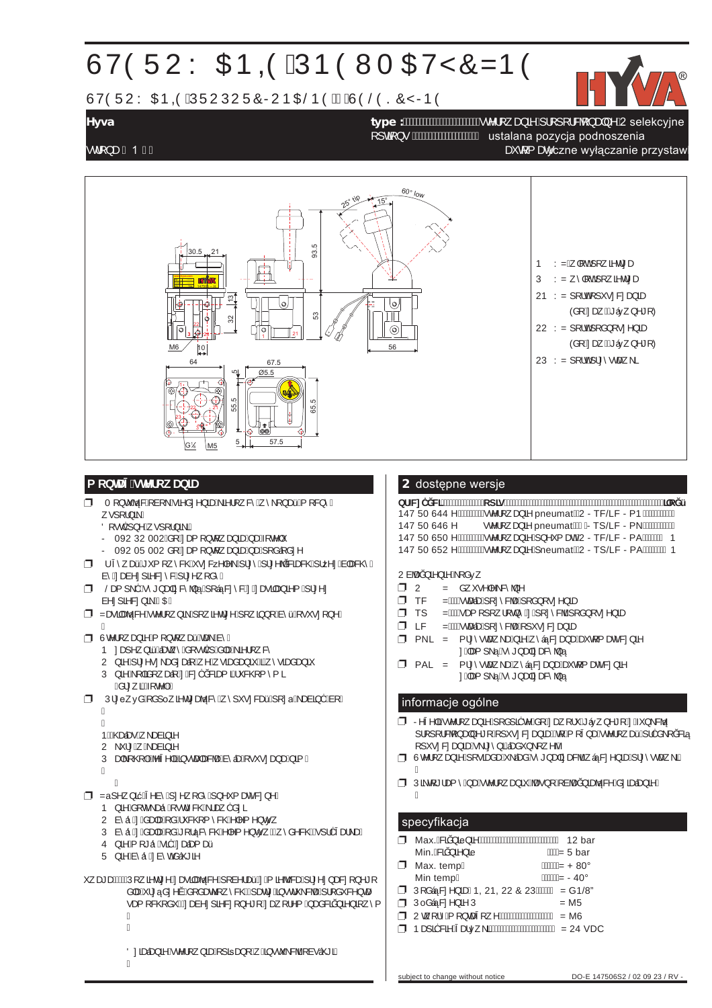# ÙVÒÜUY ŒÞ @ÁÚÞÒWT ŒVŸÔZÞÒ

ÙVÒÜUY ŒÞØÁÚÜUÚUÜÔRUÞŒŠÞÒÆÁÙÒŠÒSÔŸRÞÒ



**Hyva type :**VWHURZDQLHSURSRUFMRQDOQH2 selekcyjne **Hyva type :**VWHURZDQLHSURSRUFMRQDOQH2 selekcyjne RSWLRQV ustalana pozycja podnoszenia RSWLRQV ustalana pozycja podnoszenia

subject to change without notice DO-E 147506S2 / 02 09 23 / RV -

VWURQD DXWRPDWyczne wyłączanie przystawki VWURQD 1 DXWRPDWyczne wyłączanie przystawki



Á